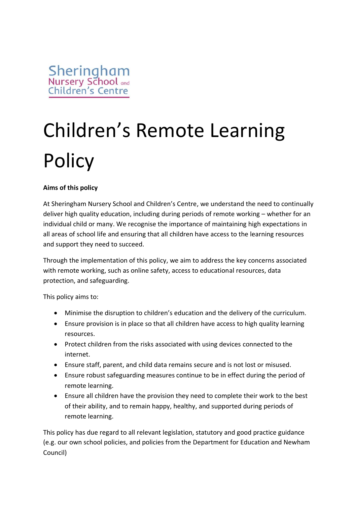# Children's Remote Learning **Policy**

## **Aims of this policy**

At Sheringham Nursery School and Children's Centre, we understand the need to continually deliver high quality education, including during periods of remote working – whether for an individual child or many. We recognise the importance of maintaining high expectations in all areas of school life and ensuring that all children have access to the learning resources and support they need to succeed.

Through the implementation of this policy, we aim to address the key concerns associated with remote working, such as online safety, access to educational resources, data protection, and safeguarding.

This policy aims to:

- Minimise the disruption to children's education and the delivery of the curriculum.
- Ensure provision is in place so that all children have access to high quality learning resources.
- Protect children from the risks associated with using devices connected to the internet.
- Ensure staff, parent, and child data remains secure and is not lost or misused.
- Ensure robust safeguarding measures continue to be in effect during the period of remote learning.
- Ensure all children have the provision they need to complete their work to the best of their ability, and to remain happy, healthy, and supported during periods of remote learning.

This policy has due regard to all relevant legislation, statutory and good practice guidance (e.g. our own school policies, and policies from the Department for Education and Newham Council)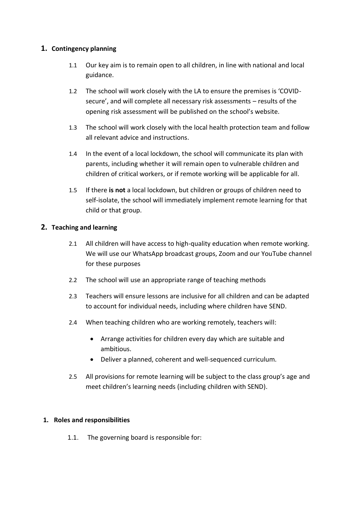## **1. Contingency planning**

- 1.1 Our key aim is to remain open to all children, in line with national and local guidance.
- 1.2 The school will work closely with the LA to ensure the premises is 'COVIDsecure', and will complete all necessary risk assessments – results of the opening risk assessment will be published on the school's website.
- 1.3 The school will work closely with the local health protection team and follow all relevant advice and instructions.
- 1.4 In the event of a local lockdown, the school will communicate its plan with parents, including whether it will remain open to vulnerable children and children of critical workers, or if remote working will be applicable for all.
- 1.5 If there **is not** a local lockdown, but children or groups of children need to self-isolate, the school will immediately implement remote learning for that child or that group.

### **2. Teaching and learning**

- 2.1 All children will have access to high-quality education when remote working. We will use our WhatsApp broadcast groups, Zoom and our YouTube channel for these purposes
- 2.2 The school will use an appropriate range of teaching methods
- 2.3 Teachers will ensure lessons are inclusive for all children and can be adapted to account for individual needs, including where children have SEND.
- 2.4 When teaching children who are working remotely, teachers will:
	- Arrange activities for children every day which are suitable and ambitious.
	- Deliver a planned, coherent and well-sequenced curriculum.
- 2.5 All provisions for remote learning will be subject to the class group's age and meet children's learning needs (including children with SEND).

### **1. Roles and responsibilities**

1.1. The governing board is responsible for: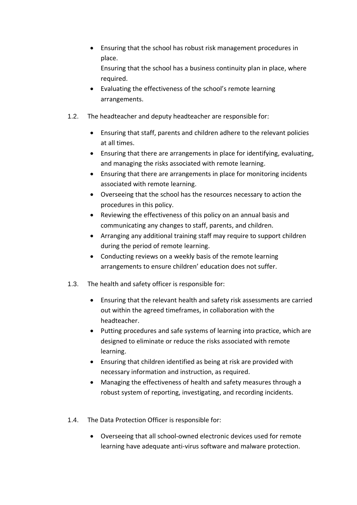- Ensuring that the school has robust risk management procedures in place. Ensuring that the school has a business continuity plan in place, where required.
- Evaluating the effectiveness of the school's remote learning arrangements.
- 1.2. The headteacher and deputy headteacher are responsible for:
	- Ensuring that staff, parents and children adhere to the relevant policies at all times.
	- Ensuring that there are arrangements in place for identifying, evaluating, and managing the risks associated with remote learning.
	- Ensuring that there are arrangements in place for monitoring incidents associated with remote learning.
	- Overseeing that the school has the resources necessary to action the procedures in this policy.
	- Reviewing the effectiveness of this policy on an annual basis and communicating any changes to staff, parents, and children.
	- Arranging any additional training staff may require to support children during the period of remote learning.
	- Conducting reviews on a weekly basis of the remote learning arrangements to ensure children' education does not suffer.
- 1.3. The health and safety officer is responsible for:
	- Ensuring that the relevant health and safety risk assessments are carried out within the agreed timeframes, in collaboration with the headteacher.
	- Putting procedures and safe systems of learning into practice, which are designed to eliminate or reduce the risks associated with remote learning.
	- Ensuring that children identified as being at risk are provided with necessary information and instruction, as required.
	- Managing the effectiveness of health and safety measures through a robust system of reporting, investigating, and recording incidents.
- 1.4. The Data Protection Officer is responsible for:
	- Overseeing that all school-owned electronic devices used for remote learning have adequate anti-virus software and malware protection.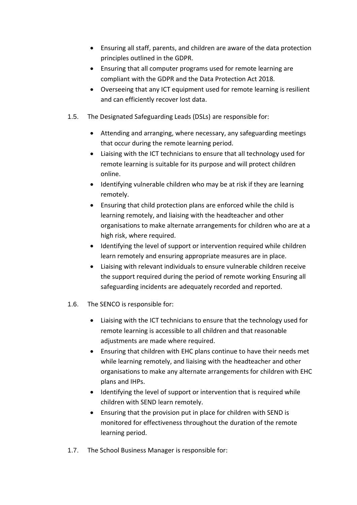- Ensuring all staff, parents, and children are aware of the data protection principles outlined in the GDPR.
- Ensuring that all computer programs used for remote learning are compliant with the GDPR and the Data Protection Act 2018.
- Overseeing that any ICT equipment used for remote learning is resilient and can efficiently recover lost data.
- 1.5. The Designated Safeguarding Leads (DSLs) are responsible for:
	- Attending and arranging, where necessary, any safeguarding meetings that occur during the remote learning period.
	- Liaising with the ICT technicians to ensure that all technology used for remote learning is suitable for its purpose and will protect children online.
	- Identifying vulnerable children who may be at risk if they are learning remotely.
	- Ensuring that child protection plans are enforced while the child is learning remotely, and liaising with the headteacher and other organisations to make alternate arrangements for children who are at a high risk, where required.
	- Identifying the level of support or intervention required while children learn remotely and ensuring appropriate measures are in place.
	- Liaising with relevant individuals to ensure vulnerable children receive the support required during the period of remote working Ensuring all safeguarding incidents are adequately recorded and reported.
- 1.6. The SENCO is responsible for:
	- Liaising with the ICT technicians to ensure that the technology used for remote learning is accessible to all children and that reasonable adjustments are made where required.
	- Ensuring that children with EHC plans continue to have their needs met while learning remotely, and liaising with the headteacher and other organisations to make any alternate arrangements for children with EHC plans and IHPs.
	- Identifying the level of support or intervention that is required while children with SEND learn remotely.
	- Ensuring that the provision put in place for children with SEND is monitored for effectiveness throughout the duration of the remote learning period.
- 1.7. The School Business Manager is responsible for: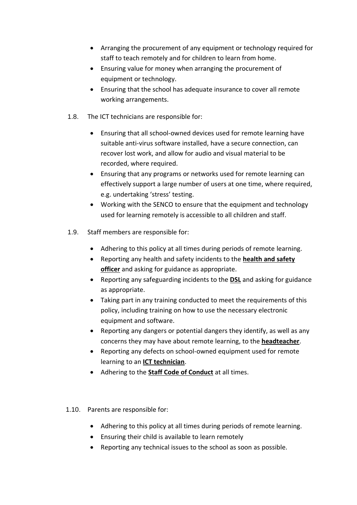- Arranging the procurement of any equipment or technology required for staff to teach remotely and for children to learn from home.
- Ensuring value for money when arranging the procurement of equipment or technology.
- Ensuring that the school has adequate insurance to cover all remote working arrangements.
- 1.8. The ICT technicians are responsible for:
	- Ensuring that all school-owned devices used for remote learning have suitable anti-virus software installed, have a secure connection, can recover lost work, and allow for audio and visual material to be recorded, where required.
	- Ensuring that any programs or networks used for remote learning can effectively support a large number of users at one time, where required, e.g. undertaking 'stress' testing.
	- Working with the SENCO to ensure that the equipment and technology used for learning remotely is accessible to all children and staff.
- 1.9. Staff members are responsible for:
	- Adhering to this policy at all times during periods of remote learning.
	- Reporting any health and safety incidents to the **health and safety officer** and asking for guidance as appropriate.
	- Reporting any safeguarding incidents to the **DSL** and asking for guidance as appropriate.
	- Taking part in any training conducted to meet the requirements of this policy, including training on how to use the necessary electronic equipment and software.
	- Reporting any dangers or potential dangers they identify, as well as any concerns they may have about remote learning, to the **headteacher**.
	- Reporting any defects on school-owned equipment used for remote learning to an **ICT technician**.
	- Adhering to the **Staff Code of Conduct** at all times.
- 1.10. Parents are responsible for:
	- Adhering to this policy at all times during periods of remote learning.
	- Ensuring their child is available to learn remotely
	- Reporting any technical issues to the school as soon as possible.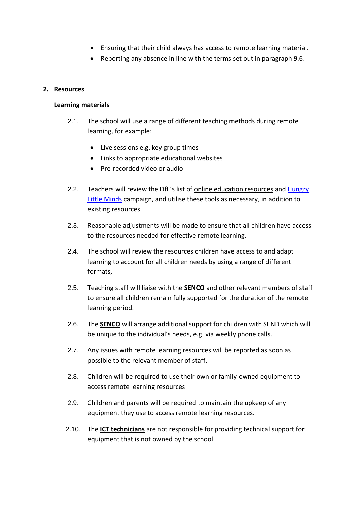- Ensuring that their child always has access to remote learning material.
- Reporting any absence in line with the terms set out in paragraph 9.6.

#### **2. Resources**

#### **Learning materials**

- 2.1. The school will use a range of different teaching methods during remote learning, for example:
	- Live sessions e.g. key group times
	- Links to appropriate educational websites
	- Pre-recorded video or audio
- 2.2. Teachers will review the DfE's list of [online education resources](https://www.gov.uk/government/publications/coronavirus-covid-19-online-education-resources) and Hungry [Little Minds](https://hungrylittleminds.campaign.gov.uk/) campaign, and utilise these tools as necessary, in addition to existing resources.
- 2.3. Reasonable adjustments will be made to ensure that all children have access to the resources needed for effective remote learning.
- 2.4. The school will review the resources children have access to and adapt learning to account for all children needs by using a range of different formats,
- 2.5. Teaching staff will liaise with the **SENCO** and other relevant members of staff to ensure all children remain fully supported for the duration of the remote learning period.
- 2.6. The **SENCO** will arrange additional support for children with SEND which will be unique to the individual's needs, e.g. via weekly phone calls.
- 2.7. Any issues with remote learning resources will be reported as soon as possible to the relevant member of staff.
- 2.8. Children will be required to use their own or family-owned equipment to access remote learning resources
- 2.9. Children and parents will be required to maintain the upkeep of any equipment they use to access remote learning resources.
- 2.10. The **ICT technicians** are not responsible for providing technical support for equipment that is not owned by the school.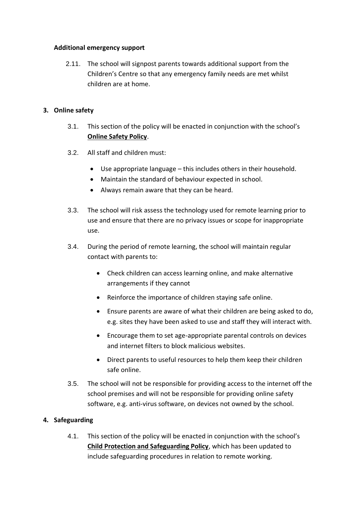#### **Additional emergency support**

2.11. The school will signpost parents towards additional support from the Children's Centre so that any emergency family needs are met whilst children are at home.

#### **3. Online safety**

- 3.1. This section of the policy will be enacted in conjunction with the school's **Online Safety Policy**.
- 3.2. All staff and children must:
	- Use appropriate language this includes others in their household.
	- Maintain the standard of behaviour expected in school.
	- Always remain aware that they can be heard.
- 3.3. The school will risk assess the technology used for remote learning prior to use and ensure that there are no privacy issues or scope for inappropriate use.
- 3.4. During the period of remote learning, the school will maintain regular contact with parents to:
	- Check children can access learning online, and make alternative arrangements if they cannot
	- Reinforce the importance of children staying safe online.
	- Ensure parents are aware of what their children are being asked to do, e.g. sites they have been asked to use and staff they will interact with.
	- Encourage them to set age-appropriate parental controls on devices and internet filters to block malicious websites.
	- Direct parents to useful resources to help them keep their children safe online.
- 3.5. The school will not be responsible for providing access to the internet off the school premises and will not be responsible for providing online safety software, e.g. anti-virus software, on devices not owned by the school.

### **4. Safeguarding**

4.1. This section of the policy will be enacted in conjunction with the school's **Child Protection and Safeguarding Policy**, which has been updated to include safeguarding procedures in relation to remote working.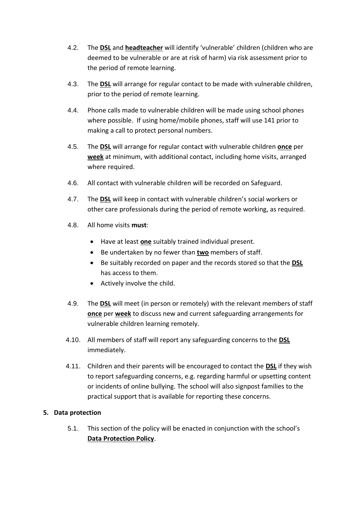- 4.2. The **DSL** and **headteacher** will identify 'vulnerable' children (children who are deemed to be vulnerable or are at risk of harm) via risk assessment prior to the period of remote learning.
- 4.3. The **DSL** will arrange for regular contact to be made with vulnerable children, prior to the period of remote learning.
- 4.4. Phone calls made to vulnerable children will be made using school phones where possible. If using home/mobile phones, staff will use 141 prior to making a call to protect personal numbers.
- 4.5. The **DSL** will arrange for regular contact with vulnerable children **once** per **week** at minimum, with additional contact, including home visits, arranged where required.
- 4.6. All contact with vulnerable children will be recorded on Safeguard.
- 4.7. The **DSL** will keep in contact with vulnerable children's social workers or other care professionals during the period of remote working, as required.
- 4.8. All home visits **must**:
	- Have at least **one** suitably trained individual present.
	- Be undertaken by no fewer than **two** members of staff.
	- Be suitably recorded on paper and the records stored so that the **DSL** has access to them.
	- Actively involve the child.
- 4.9. The **DSL** will meet (in person or remotely) with the relevant members of staff **once** per **week** to discuss new and current safeguarding arrangements for vulnerable children learning remotely.
- 4.10. All members of staff will report any safeguarding concerns to the **DSL** immediately.
- 4.11. Children and their parents will be encouraged to contact the **DSL** if they wish to report safeguarding concerns, e.g. regarding harmful or upsetting content or incidents of online bullying. The school will also signpost families to the practical support that is available for reporting these concerns.

### **5. Data protection**

5.1. This section of the policy will be enacted in conjunction with the school's **Data Protection Policy**.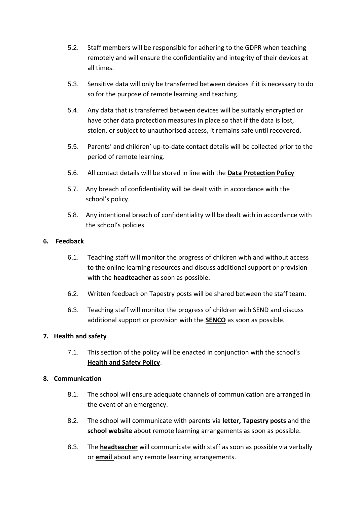- 5.2. Staff members will be responsible for adhering to the GDPR when teaching remotely and will ensure the confidentiality and integrity of their devices at all times.
- 5.3. Sensitive data will only be transferred between devices if it is necessary to do so for the purpose of remote learning and teaching.
- 5.4. Any data that is transferred between devices will be suitably encrypted or have other data protection measures in place so that if the data is lost, stolen, or subject to unauthorised access, it remains safe until recovered.
- 5.5. Parents' and children' up-to-date contact details will be collected prior to the period of remote learning.
- 5.6. All contact details will be stored in line with the **Data Protection Policy**
- 5.7. Any breach of confidentiality will be dealt with in accordance with the school's policy.
- 5.8. Any intentional breach of confidentiality will be dealt with in accordance with the school's policies

### **6. Feedback**

- 6.1. Teaching staff will monitor the progress of children with and without access to the online learning resources and discuss additional support or provision with the **headteacher** as soon as possible.
- 6.2. Written feedback on Tapestry posts will be shared between the staff team.
- 6.3. Teaching staff will monitor the progress of children with SEND and discuss additional support or provision with the **SENCO** as soon as possible.

### **7. Health and safety**

7.1. This section of the policy will be enacted in conjunction with the school's **Health and Safety Policy**.

### **8. Communication**

- 8.1. The school will ensure adequate channels of communication are arranged in the event of an emergency.
- 8.2. The school will communicate with parents via **letter, Tapestry posts** and the **school website** about remote learning arrangements as soon as possible.
- 8.3. The **headteacher** will communicate with staff as soon as possible via verbally or **email** about any remote learning arrangements.